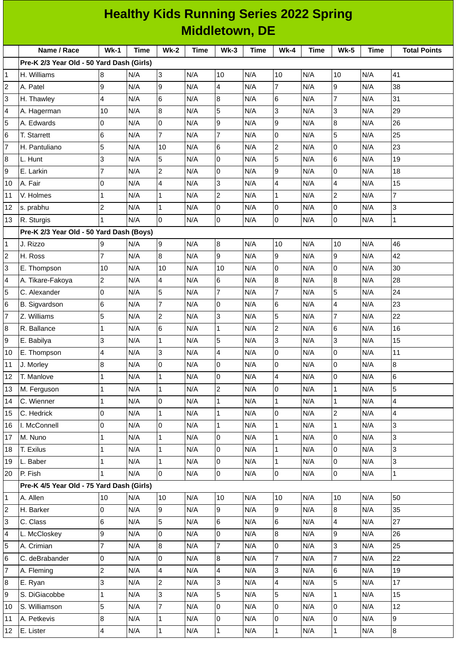|             | <b>Healthy Kids Running Series 2022 Spring</b> |                 |             |                         |             |                |             |                     |             |                 |      |                     |
|-------------|------------------------------------------------|-----------------|-------------|-------------------------|-------------|----------------|-------------|---------------------|-------------|-----------------|------|---------------------|
|             | <b>Middletown, DE</b>                          |                 |             |                         |             |                |             |                     |             |                 |      |                     |
|             | Name / Race                                    | $Wk-1$          | <b>Time</b> | $Wk-2$                  | <b>Time</b> | $Wk-3$         | <b>Time</b> | $Wk-4$              | <b>Time</b> | $Wk-5$          | Time | <b>Total Points</b> |
|             | Pre-K 2/3 Year Old - 50 Yard Dash (Girls)      |                 |             |                         |             |                |             |                     |             |                 |      |                     |
| 1           | H. Williams                                    | 8               | N/A         | 3                       | N/A         | 10             | N/A         | 10                  | N/A         | 10              | N/A  | 41                  |
| $\mathbf 2$ | A. Patel                                       | 9               | N/A         | 9                       | N/A         | $\overline{4}$ | N/A         | $\overline{7}$      | N/A         | 9               | N/A  | 38                  |
| 3           | H. Thawley                                     | $\overline{4}$  | N/A         | 6                       | N/A         | 8              | N/A         | 6                   | N/A         | $\overline{7}$  | N/A  | 31                  |
| 4           | A. Hagerman                                    | 10              | N/A         | 8                       | N/A         | 5              | N/A         | 3                   | N/A         | 3               | N/A  | 29                  |
| 5           | A. Edwards                                     | 0               | N/A         | 0                       | N/A         | 9              | N/A         | 9                   | N/A         | $\bf{8}$        | N/A  | 26                  |
| 6           | T. Starrett                                    | $6\phantom{.}6$ | N/A         | $\overline{7}$          | N/A         | $\overline{7}$ | N/A         | $\mathbf 0$         | N/A         | 5               | N/A  | 25                  |
| 7           | H. Pantuliano                                  | 5               | N/A         | 10                      | N/A         | 6              | N/A         | $\overline{c}$      | N/A         | $\overline{0}$  | N/A  | 23                  |
| 8           | L. Hunt                                        | 3               | N/A         | 5                       | N/A         | $\overline{0}$ | N/A         | 5                   | N/A         | $6\phantom{1}6$ | N/A  | 19                  |
| 9           | E. Larkin                                      | $\overline{7}$  | N/A         | $\overline{c}$          | N/A         | 0              | N/A         | 9                   | N/A         | $\overline{0}$  | N/A  | 18                  |
| 10          | A. Fair                                        | 0               | N/A         | 4                       | N/A         | 3              | N/A         | 4                   | N/A         | 4               | N/A  | 15                  |
| 11          | V. Holmes                                      | $\mathbf{1}$    | N/A         | $\mathbf{1}$            | N/A         | $\overline{c}$ | N/A         | $\mathbf 1$         | N/A         | $\overline{c}$  | N/A  | $\overline{7}$      |
| 12          | s. prabhu                                      | $\overline{c}$  | N/A         | $\mathbf{1}$            | N/A         | $\overline{0}$ | N/A         | 0                   | N/A         | $\overline{0}$  | N/A  | 3                   |
| 13          | R. Sturgis                                     | 1               | N/A         | 0                       | N/A         | 0              | N/A         | $\mathsf{O}\xspace$ | N/A         | $\mathsf{O}$    | N/A  | $\mathbf 1$         |
|             | Pre-K 2/3 Year Old - 50 Yard Dash (Boys)       |                 |             |                         |             |                |             |                     |             |                 |      |                     |
| 1           | J. Rizzo                                       | 9               | N/A         | 9                       | N/A         | 8              | N/A         | 10                  | N/A         | 10              | N/A  | 46                  |
| 2           | H. Ross                                        | $\overline{7}$  | N/A         | 8                       | N/A         | 9              | N/A         | 9                   | N/A         | $\overline{9}$  | N/A  | 42                  |
| 3           | E. Thompson                                    | 10              | N/A         | 10                      | N/A         | 10             | N/A         | $\mathbf 0$         | N/A         | $\overline{0}$  | N/A  | 30                  |
| 4           | A. Tikare-Fakoya                               | $\overline{c}$  | N/A         | 4                       | N/A         | 6              | N/A         | 8                   | N/A         | 8               | N/A  | 28                  |
| 5           | C. Alexander                                   | $\overline{0}$  | N/A         | 5                       | N/A         | $\overline{7}$ | N/A         | $\overline{7}$      | N/A         | 5               | N/A  | 24                  |
| 6           | <b>B.</b> Sigvardson                           | 6               | N/A         | 7                       | N/A         | 0              | N/A         | 6                   | N/A         | 4               | N/A  | 23                  |
| 7           | Z. Williams                                    | 5               | N/A         | 2                       | N/A         | 3              | N/A         | 5                   | N/A         | $\overline{7}$  | N/A  | 22                  |
| 8           | R. Ballance                                    | 1               | N/A         | 6                       | N/A         | $\mathbf{1}$   | N/A         | $\overline{c}$      | N/A         | 6               | N/A  | 16                  |
| 9           | E. Babilya                                     | 3               | N/A         | 1                       | N/A         | 5              | N/A         | 3                   | N/A         | 3               | N/A  | 15                  |
| 10          | E. Thompson                                    | $\overline{4}$  | N/A         | 3                       | N/A         | $\overline{4}$ | N/A         | $\overline{0}$      | N/A         | $\overline{0}$  | N/A  | $11\,$              |
| 11          | J. Morley                                      | $\bf{8}$        | N/A         | 0                       | N/A         | 0              | N/A         | $\mathbf 0$         | N/A         | $\mathsf{O}$    | N/A  | 8                   |
| 12          | T. Manlove                                     | $\mathbf{1}$    | N/A         | $\mathbf{1}$            | N/A         | $\overline{0}$ | N/A         | 4                   | N/A         | $\overline{0}$  | N/A  | 6                   |
| 13          | M. Ferguson                                    | $\mathbf 1$     | N/A         | $\mathbf{1}$            | N/A         | $\overline{c}$ | N/A         | 0                   | N/A         | $\mathbf{1}$    | N/A  | 5                   |
| 14          | C. Wienner                                     | $\mathbf{1}$    | N/A         | 0                       | N/A         | $\mathbf 1$    | N/A         | $\mathbf 1$         | N/A         | $\mathbf{1}$    | N/A  | 4                   |
| 15          | C. Hedrick                                     | $\overline{0}$  | N/A         | 1                       | N/A         | $\mathbf 1$    | N/A         | 0                   | N/A         | $\overline{2}$  | N/A  | 4                   |
| 16          | I. McConnell                                   | $\overline{0}$  | N/A         | 0                       | N/A         | $\mathbf 1$    | N/A         | $\mathbf{1}$        | N/A         | $\mathbf{1}$    | N/A  | 3                   |
| 17          | M. Nuno                                        | $\mathbf 1$     | N/A         | $\mathbf 1$             | N/A         | $\overline{0}$ | N/A         | $\mathbf 1$         | N/A         | $\overline{0}$  | N/A  | 3                   |
| 18          | T. Exilus                                      | $\mathbf 1$     | N/A         | $\mathbf{1}$            | N/A         | $\overline{0}$ | N/A         | $\mathbf 1$         | N/A         | $\overline{0}$  | N/A  | 3                   |
| 19          | L. Baber                                       | $\mathbf{1}$    | N/A         | $\mathbf 1$             | N/A         | $\overline{0}$ | N/A         | $\mathbf 1$         | N/A         | $\mathsf{O}$    | N/A  | 3                   |
| 20          | P. Fish                                        | $\mathbf{1}$    | N/A         | $\overline{0}$          | N/A         | $\overline{0}$ | N/A         | 0                   | N/A         | $\overline{0}$  | N/A  | $\mathbf{1}$        |
|             | Pre-K 4/5 Year Old - 75 Yard Dash (Girls)      |                 |             |                         |             |                |             |                     |             |                 |      |                     |
| $\mathbf 1$ | A. Allen                                       | 10              | N/A         | 10                      | N/A         | 10             | N/A         | 10                  | N/A         | 10              | N/A  | 50                  |
| $\mathbf 2$ | H. Barker                                      | $\overline{0}$  | N/A         | 9                       | N/A         | 9              | N/A         | 9                   | N/A         | 8               | N/A  | 35                  |
| 3           | C. Class                                       | $6\phantom{.}6$ | N/A         | 5                       | N/A         | 6              | N/A         | 6                   | N/A         | $\overline{4}$  | N/A  | 27                  |
| 4           | L. McCloskey                                   | 9               | N/A         | 0                       | N/A         | 0              | N/A         | 8                   | N/A         | 9               | N/A  | 26                  |
| 5           | A. Crimian                                     | $\overline{7}$  | N/A         | 8                       | N/A         | $\overline{7}$ | N/A         | 0                   | N/A         | 3               | N/A  | 25                  |
| 6           | C. deBrabander                                 | Iо              | N/A         | 0                       | N/A         | 8              | N/A         | $\overline{7}$      | N/A         | $\overline{7}$  | N/A  | 22                  |
| 7           | A. Fleming                                     | $\overline{c}$  | N/A         | $\overline{\mathbf{4}}$ | N/A         | 4              | N/A         | 3                   | N/A         | $\,6$           | N/A  | 19                  |
| 8           | E. Ryan                                        | 3               | N/A         | $\overline{c}$          | N/A         | 3              | N/A         | 4                   | N/A         | 5               | N/A  | 17                  |
| 9           | S. DiGiacobbe                                  | $\mathbf 1$     | N/A         | 3                       | N/A         | 5              | N/A         | 5                   | N/A         | $\mathbf{1}$    | N/A  | 15                  |
| 10          | S. Williamson                                  | 5               | N/A         | 7                       | N/A         | 0              | N/A         | 0                   | N/A         | 0               | N/A  | 12                  |
| 11          | A. Petkevis                                    | $\overline{8}$  | N/A         | $\mathbf 1$             | N/A         | $\overline{0}$ | N/A         | $\mathsf{O}\xspace$ | N/A         | $\mathsf 0$     | N/A  | 9                   |
| 12          | E. Lister                                      | $\overline{4}$  | N/A         | $\mathbf 1$             | N/A         | $\mathbf 1$    | N/A         | $\mathbf 1$         | N/A         | $\mathbf{1}$    | N/A  | 8                   |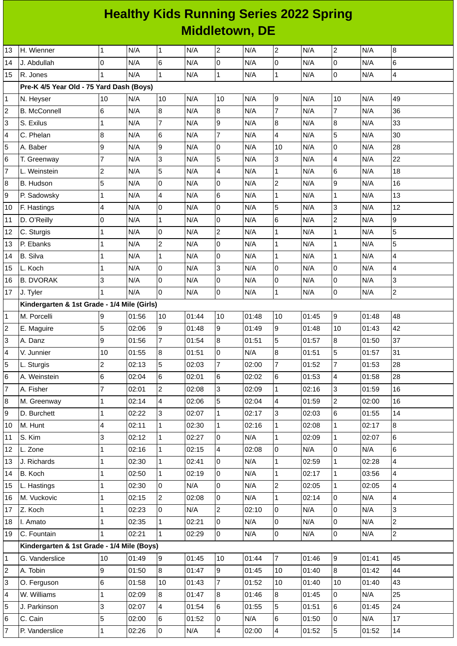| <b>Healthy Kids Running Series 2022 Spring</b> |
|------------------------------------------------|
| <b>Middletown, DE</b>                          |

| 13                      | H. Wienner                                  | $\mathbf{1}$   | N/A   | $\mathbf{1}$   | N/A   | $\overline{c}$      | N/A   | $\overline{c}$ | N/A   | $\overline{2}$ | N/A   | $8\,$          |
|-------------------------|---------------------------------------------|----------------|-------|----------------|-------|---------------------|-------|----------------|-------|----------------|-------|----------------|
| 14                      | J. Abdullah                                 | 0              | N/A   | 6              | N/A   | O                   | N/A   | $\overline{0}$ | N/A   | 0              | N/A   | 6              |
| 15                      | R. Jones                                    | 1              | N/A   | $\mathbf{1}$   | N/A   | $\overline{1}$      | N/A   | $\mathbf{1}$   | N/A   | 0              | N/A   | $\overline{4}$ |
|                         | Pre-K 4/5 Year Old - 75 Yard Dash (Boys)    |                |       |                |       |                     |       |                |       |                |       |                |
| 1                       | N. Heyser                                   | 10             | N/A   | $10\,$         | N/A   | 10                  | N/A   | 9              | N/A   | 10             | N/A   | 49             |
| $\overline{\mathbf{c}}$ | <b>B.</b> McConnell                         | 6              | N/A   | 8              | N/A   | 8                   | N/A   | $\overline{7}$ | N/A   | $\overline{7}$ | N/A   | 36             |
| 3                       | S. Exilus                                   | $\mathbf{1}$   | N/A   | $\overline{7}$ | N/A   | 9                   | N/A   | 8              | N/A   | $\bf{8}$       | N/A   | 33             |
| 4                       | C. Phelan                                   | 8              | N/A   | 6              | N/A   | $\overline{7}$      | N/A   | 4              | N/A   | 5              | N/A   | 30             |
| 5                       | A. Baber                                    | 9              | N/A   | 9              | N/A   | $\mathbf 0$         | N/A   | 10             | N/A   | 0              | N/A   | 28             |
| 6                       | T. Greenway                                 | $\overline{7}$ | N/A   | 3              | N/A   | 5                   | N/A   | $\overline{3}$ | N/A   | 4              | N/A   | 22             |
| $\overline{7}$          | L. Weinstein                                | $\overline{c}$ | N/A   | 5              | N/A   | 4                   | N/A   | $\mathbf{1}$   | N/A   | 6              | N/A   | 18             |
| 8                       | B. Hudson                                   | 5              | N/A   | 0              | N/A   | $\mathbf 0$         | N/A   | $\overline{c}$ | N/A   | 9              | N/A   | 16             |
| 9                       | P. Sadowsky                                 | $\mathbf{1}$   | N/A   | 4              | N/A   | 6                   | N/A   | $\mathbf{1}$   | N/A   | $\mathbf{1}$   | N/A   | 13             |
| 10                      | F. Hastings                                 | 4              | N/A   | 0              | N/A   | $\mathsf{O}\xspace$ | N/A   | 5              | N/A   | 3              | N/A   | 12             |
| 11                      | D. O'Reilly                                 | 0              | N/A   | $\mathbf 1$    | N/A   | $\overline{0}$      | N/A   | $\,6$          | N/A   | $\overline{c}$ | N/A   | 9              |
| 12                      | C. Sturgis                                  | 1              | N/A   | 0              | N/A   | $\overline{c}$      | N/A   | $\mathbf{1}$   | N/A   | $\mathbf{1}$   | N/A   | 5              |
| 13                      | P. Ebanks                                   | $\mathbf{1}$   | N/A   | $\overline{c}$ | N/A   | 0                   | N/A   | $\mathbf{1}$   | N/A   | $\mathbf{1}$   | N/A   | 5              |
| 14                      | <b>B.</b> Silva                             | 1              | N/A   | $\mathbf{1}$   | N/A   | $\overline{0}$      | N/A   | $\mathbf{1}$   | N/A   | $\mathbf{1}$   | N/A   | 4              |
| 15                      | L. Koch                                     | $\mathbf{1}$   | N/A   | 0              | N/A   | 3                   | N/A   | $\overline{0}$ | N/A   | 0              | N/A   | 4              |
| 16                      | <b>B. DVORAK</b>                            | 3              | N/A   | 0              | N/A   | 0                   | N/A   | 0              | N/A   | 0              | N/A   | 3              |
| 17                      | J. Tyler                                    | $\mathbf{1}$   | N/A   | 0              | N/A   | $\overline{0}$      | N/A   | $\mathbf{1}$   | N/A   | 0              | N/A   | $\overline{2}$ |
|                         | Kindergarten & 1st Grade - 1/4 Mile (Girls) |                |       |                |       |                     |       |                |       |                |       |                |
| 1                       | M. Porcelli                                 | 9              | 01:56 | 10             | 01:44 | 10                  | 01:48 | 10             | 01:45 | 9              | 01:48 | 48             |
| 2                       | E. Maguire                                  | 5              | 02:06 | 9              | 01:48 | 9                   | 01:49 | 9              | 01:48 | 10             | 01:43 | 42             |
| 3                       | A. Danz                                     | 9              | 01:56 | $\overline{7}$ | 01:54 | 8                   | 01:51 | 5              | 01:57 | 8              | 01:50 | 37             |
| 4                       | V. Junnier                                  | 10             | 01:55 | 8              | 01:51 | $\overline{0}$      | N/A   | 8              | 01:51 | 5              | 01:57 | 31             |
| 5                       | L. Sturgis                                  | $\overline{c}$ | 02:13 | 5              | 02:03 | 7                   | 02:00 | $\overline{7}$ | 01:52 | 7              | 01:53 | 28             |
| 6                       | A. Weinstein                                | 6              | 02:04 | 6              | 02:01 | 6                   | 02:02 | 6              | 01:53 | 4              | 01:58 | 28             |
| 7                       | A. Fisher                                   | 17             | 02:01 | $\overline{2}$ | 02:08 | 3                   | 02:09 | $\mathbf{1}$   | 02:16 | 3              | 01:59 | 16             |
| 8                       | M. Greenway                                 | 1              | 02:14 | 4              | 02:06 | 5                   | 02:04 | 4              | 01:59 | 2              | 02:00 | 16             |
| 9                       | D. Burchett                                 | $\mathbf{1}$   | 02:22 | 3              | 02:07 | $\mathbf{1}$        | 02:17 | 3              | 02:03 | 6              | 01:55 | 14             |
| 10                      | M. Hunt                                     | 4              | 02:11 | $\mathbf 1$    | 02:30 | $\mathbf{1}$        | 02:16 | $\mathbf{1}$   | 02:08 | $\mathbf{1}$   | 02:17 | 8              |
| 11                      | S. Kim                                      | 3              | 02:12 | $\mathbf{1}$   | 02:27 | 0                   | N/A   | $\mathbf{1}$   | 02:09 | $\mathbf 1$    | 02:07 | 6              |
| 12                      | L. Zone                                     | 1              | 02:16 | $\mathbf{1}$   | 02:15 | 4                   | 02:08 | 0              | N/A   | 0              | N/A   | 6              |
| 13                      | J. Richards                                 | $\mathbf{1}$   | 02:30 | $\mathbf{1}$   | 02:41 | O                   | N/A   | $\mathbf{1}$   | 02:59 | $\mathbf{1}$   | 02:28 | 4              |
| 14                      | B. Koch                                     | $\mathbf{1}$   | 02:50 | $\mathbf{1}$   | 02:19 | 0                   | N/A   | $\mathbf{1}$   | 02:17 | $\mathbf{1}$   | 03:56 | 4              |
| 15                      | L. Hastings                                 | 1              | 02:30 | 0              | N/A   | O                   | N/A   | $\overline{c}$ | 02:05 | $\mathbf{1}$   | 02:05 | 4              |
| 16                      | M. Vuckovic                                 | 1              | 02:15 | $\overline{c}$ | 02:08 | O                   | N/A   | $\mathbf 1$    | 02:14 | 0              | N/A   | 4              |
| 17                      | Z. Koch                                     | $\mathbf{1}$   | 02:23 | 0              | N/A   | $\mathbf{2}$        | 02:10 | $\overline{0}$ | N/A   | 0              | N/A   | 3              |
| 18                      | I. Amato                                    | $\mathbf{1}$   | 02:35 | $\mathbf{1}$   | 02:21 | $\overline{0}$      | N/A   | 0              | N/A   | 0              | N/A   | $\overline{c}$ |
| 19                      | C. Fountain                                 | $\mathbf{1}$   | 02:21 | $\mathbf{1}$   | 02:29 | 0                   | N/A   | $\overline{0}$ | N/A   | 0              | N/A   | $\overline{2}$ |
|                         | Kindergarten & 1st Grade - 1/4 Mile (Boys)  |                |       |                |       |                     |       |                |       |                |       |                |
| 1                       | G. Vanderslice                              | 10             | 01:49 | 9              | 01:45 | 10                  | 01:44 | $\overline{7}$ | 01:46 | 9              | 01:41 | 45             |
| 2                       | A. Tobin                                    | 9              | 01:50 | 8              | 01:47 | 9                   | 01:45 | 10             | 01:40 | 8              | 01:42 | 44             |
| 3                       | O. Ferguson                                 | 6              | 01:58 | 10             | 01:43 | $\overline{7}$      | 01:52 | 10             | 01:40 | 10             | 01:40 | 43             |
| 4                       | W. Williams                                 | 1              | 02:09 | 8              | 01:47 | 8                   | 01:46 | $8\,$          | 01:45 | $\overline{0}$ | N/A   | 25             |
| 5                       | J. Parkinson                                | 3              | 02:07 | 4              | 01:54 | 6                   | 01:55 | 5              | 01:51 | 6              | 01:45 | 24             |
| 6                       | C. Cain                                     | 5              | 02:00 | 6              | 01:52 | 0                   | N/A   | 6              | 01:50 | 0              | N/A   | 17             |
| 7                       | P. Vanderslice                              | $\mathbf 1$    | 02:26 | $\pmb{0}$      | N/A   | 4                   | 02:00 | 4              | 01:52 | 5              | 01:52 | 14             |
|                         |                                             |                |       |                |       |                     |       |                |       |                |       |                |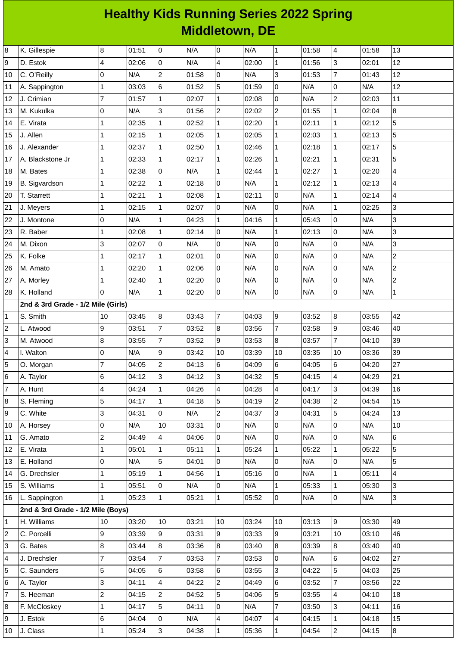## **Healthy Kids Running Series 2022 Spring Middletown, DE**

| 8                       | K. Gillespie                       | 8              | 01:51 | l0                       | N/A   | $\overline{0}$ | N/A   | $\mathbf{1}$   | 01:58 | 4              | 01:58 | 13             |
|-------------------------|------------------------------------|----------------|-------|--------------------------|-------|----------------|-------|----------------|-------|----------------|-------|----------------|
| 9                       | D. Estok                           | 4              | 02:06 | l0                       | N/A   | 4              | 02:00 | $\mathbf 1$    | 01:56 | 3              | 02:01 | 12             |
| 10                      | C. O'Reilly                        | 0              | N/A   | $\overline{c}$           | 01:58 | $\mathsf 0$    | N/A   | 3              | 01:53 | $\overline{7}$ | 01:43 | 12             |
| 11                      | A. Sappington                      | $\mathbf 1$    | 03:03 | $6\phantom{.}6$          | 01:52 | 5              | 01:59 | 0              | N/A   | 0              | N/A   | 12             |
| 12                      | J. Crimian                         | $\overline{7}$ | 01:57 | $\mathbf 1$              | 02:07 | $\mathbf{1}$   | 02:08 | 0              | N/A   | $\overline{c}$ | 02:03 | 11             |
| 13                      | M. Kukulka                         | 0              | N/A   | 3                        | 01:56 | $\overline{c}$ | 02:02 | $\overline{c}$ | 01:55 | $\mathbf 1$    | 02:04 | 8              |
| 14                      | E. Virata                          | $\mathbf{1}$   | 02:35 | $\mathbf{1}$             | 02:52 | $\mathbf{1}$   | 02:20 | $\mathbf{1}$   | 02:11 | $\mathbf{1}$   | 02:12 | 5              |
| 15                      | J. Allen                           | $\mathbf 1$    | 02:15 | $\mathbf 1$              | 02:05 | $\mathbf 1$    | 02:05 | $\mathbf 1$    | 02:03 | $\mathbf 1$    | 02:13 | 5              |
| 16                      | J. Alexander                       | $\mathbf 1$    | 02:37 | $\mathbf 1$              | 02:50 | $\mathbf{1}$   | 02:46 | $\mathbf{1}$   | 02:18 | $\mathbf{1}$   | 02:17 | $\overline{5}$ |
| 17                      | A. Blackstone Jr                   | $\mathbf 1$    | 02:33 | $\mathbf 1$              | 02:17 | $\mathbf{1}$   | 02:26 | $\mathbf{1}$   | 02:21 | $\mathbf 1$    | 02:31 | 5              |
| 18                      | M. Bates                           | $\mathbf 1$    | 02:38 | l0                       | N/A   | $\mathbf 1$    | 02:44 | $\mathbf{1}$   | 02:27 | $\mathbf{1}$   | 02:20 | 4              |
| 19                      | <b>B.</b> Sigvardson               | $\mathbf 1$    | 02:22 | $\mathbf 1$              | 02:18 | $\overline{0}$ | N/A   | $\mathbf 1$    | 02:12 | $\mathbf 1$    | 02:13 | 4              |
| 20                      | T. Starrett                        | $\mathbf 1$    | 02:21 | $\mathbf{1}$             | 02:08 | $\mathbf{1}$   | 02:11 | 0              | N/A   | $\mathbf 1$    | 02:14 | 4              |
| 21                      | J. Meyers                          | $\mathbf 1$    | 02:15 | $\mathbf{1}$             | 02:07 | $\overline{0}$ | N/A   | 0              | N/A   | $\mathbf 1$    | 02:25 | 3              |
| 22                      | J. Montone                         | 0              | N/A   | $\mathbf{1}$             | 04:23 | $\mathbf{1}$   | 04:16 | $\mathbf 1$    | 05:43 | 0              | N/A   | 3              |
| 23                      | R. Baber                           | $\mathbf 1$    | 02:08 | $\mathbf 1$              | 02:14 | $\overline{0}$ | N/A   | $\mathbf{1}$   | 02:13 | $\mathsf 0$    | N/A   | 3              |
| 24                      | M. Dixon                           | 3              | 02:07 | l0                       | N/A   | $\overline{0}$ | N/A   | $\mathbf 0$    | N/A   | 0              | N/A   | 3              |
| 25                      | K. Folke                           | 1              | 02:17 | $\mathbf 1$              | 02:01 | $\overline{0}$ | N/A   | 0              | N/A   | 0              | N/A   | $\overline{c}$ |
| 26                      | M. Amato                           | $\mathbf 1$    | 02:20 | $\mathbf{1}$             | 02:06 | 0              | N/A   | 0              | N/A   | 0              | N/A   | $\overline{c}$ |
| 27                      | A. Morley                          | $\mathbf{1}$   | 02:40 | $\mathbf 1$              | 02:20 | $\overline{0}$ | N/A   | 0              | N/A   | 0              | N/A   | $\overline{c}$ |
| 28                      | K. Holland                         | 0              | N/A   | $\mathbf{1}$             | 02:20 | $\overline{0}$ | N/A   | 0              | N/A   | 0              | N/A   | $\mathbf{1}$   |
|                         | 2nd & 3rd Grade - 1/2 Mile (Girls) |                |       |                          |       |                |       |                |       |                |       |                |
| 1                       | S. Smith                           | 10             | 03:45 | $\overline{8}$           | 03:43 | $\overline{7}$ | 04:03 | 9              | 03:52 | 8              | 03:55 | 42             |
| $\overline{\mathbf{c}}$ | L. Atwood                          | 9              | 03:51 | $\overline{7}$           | 03:52 | $\bf{8}$       | 03:56 | $\overline{7}$ | 03:58 | 9              | 03:46 | 40             |
| 3                       | M. Atwood                          | 8              | 03:55 | $\overline{7}$           | 03:52 | 9              | 03:53 | 8              | 03:57 | $\overline{7}$ | 04:10 | 39             |
| 4                       | I. Walton                          | 0              | N/A   | 9                        | 03:42 | 10             | 03:39 | 10             | 03:35 | 10             | 03:36 | 39             |
| 5                       | O. Morgan                          | $\overline{7}$ | 04:05 | $\overline{c}$           | 04:13 | $\,$ 6         | 04:09 | 6              | 04:05 | 6              | 04:20 | 27             |
| 6                       | A. Taylor                          | 6              | 04:12 | $\overline{3}$           | 04:12 | $\overline{3}$ | 04:32 | 5              | 04:15 | 4              | 04:29 | 21             |
| $\overline{7}$          | A. Hunt                            | 4              | 04:24 | 1                        | 04:26 | 4              | 04:28 | 4              | 04:17 | 3              | 04:39 | 16             |
| 8                       | S. Fleming                         | 5              | 04:17 | $\mathbf{1}$             | 04:18 | 5              | 04:19 | $\overline{c}$ | 04:38 | $\overline{c}$ | 04:54 | 15             |
| 9                       | C. White                           | 3              | 04:31 | $\overline{0}$           | N/A   | $\overline{c}$ | 04:37 | 3              | 04:31 | 5              | 04:24 | 13             |
| 10                      | A. Horsey                          | 0              | N/A   | 10                       | 03:31 | $\pmb{0}$      | N/A   | 0              | N/A   | $\mathsf 0$    | N/A   | 10             |
| 11                      | G. Amato                           | $\overline{c}$ | 04:49 | $\overline{4}$           | 04:06 | $\mathsf{O}$   | N/A   | 0              | N/A   | 0              | N/A   | 6              |
| 12                      | E. Virata                          | 1              | 05:01 | $\mathbf{1}$             | 05:11 | $\mathbf{1}$   | 05:24 | $\mathbf{1}$   | 05:22 | $\mathbf{1}$   | 05:22 | $\overline{5}$ |
| 13                      | E. Holland                         | 0              | N/A   | 5                        | 04:01 | 0              | N/A   | 0              | N/A   | 0              | N/A   | 5              |
| 14                      | G. Drechsler                       | $\mathbf 1$    | 05:19 | $\mathbf{1}$             | 04:56 | $\mathbf{1}$   | 05:16 | 0              | N/A   | $\mathbf{1}$   | 05:11 | $\overline{4}$ |
| 15                      | S. Williams                        | 1              | 05:51 | 0                        | N/A   | 0              | N/A   | $\mathbf{1}$   | 05:33 | $\mathbf{1}$   | 05:30 | 3              |
| 16                      | L. Sappington                      | $\mathbf{1}$   | 05:23 | $\mathbf{1}$             | 05:21 | $\mathbf{1}$   | 05:52 | 0              | N/A   | $\overline{0}$ | N/A   | 3              |
|                         | 2nd & 3rd Grade - 1/2 Mile (Boys)  |                |       |                          |       |                |       |                |       |                |       |                |
| $\mathbf 1$             | H. Williams                        | 10             | 03:20 | 10                       | 03:21 | 10             | 03:24 | 10             | 03:13 | 9              | 03:30 | 49             |
| $\overline{c}$          | C. Porcelli                        | 9              | 03:39 | 9                        | 03:31 | 9              | 03:33 | 9              | 03:21 | 10             | 03:10 | 46             |
| 3                       | G. Bates                           | 8              | 03:44 | 8                        | 03:36 | $\overline{8}$ | 03:40 | 8              | 03:39 | 8              | 03:40 | 40             |
| 4                       | J. Drechsler                       | $\overline{7}$ | 03:54 | 7                        | 03:53 | 7              | 03:53 | 0              | N/A   | 6              | 04:02 | 27             |
| 5                       | C. Saunders                        | 5              | 04:05 | $\,6$                    | 03:58 | $6\phantom{.}$ | 03:55 | 3              | 04:22 | 5              | 04:03 | 25             |
| 6                       | A. Taylor                          | 3              | 04:11 | $\overline{\mathcal{A}}$ | 04:22 | $\overline{c}$ | 04:49 | 6              | 03:52 | $\overline{7}$ | 03:56 | 22             |
| $\overline{7}$          | S. Heeman                          | $\overline{c}$ | 04:15 | $\overline{c}$           | 04:52 | 5              | 04:06 | 5              | 03:55 | 4              | 04:10 | 18             |
| 8                       | F. McCloskey                       | $\mathbf 1$    | 04:17 | 5                        | 04:11 | $\overline{0}$ | N/A   | $\overline{7}$ | 03:50 | 3              | 04:11 | 16             |
| 9                       | J. Estok                           | 6              | 04:04 | O                        | N/A   | 4              | 04:07 | 4              | 04:15 | $\mathbf{1}$   | 04:18 | 15             |
| 10                      | J. Class                           | $\mathbf 1$    | 05:24 | 3                        | 04:38 | $\mathbf{1}$   | 05:36 | $\mathbf{1}$   | 04:54 | $\overline{2}$ | 04:15 | 8              |